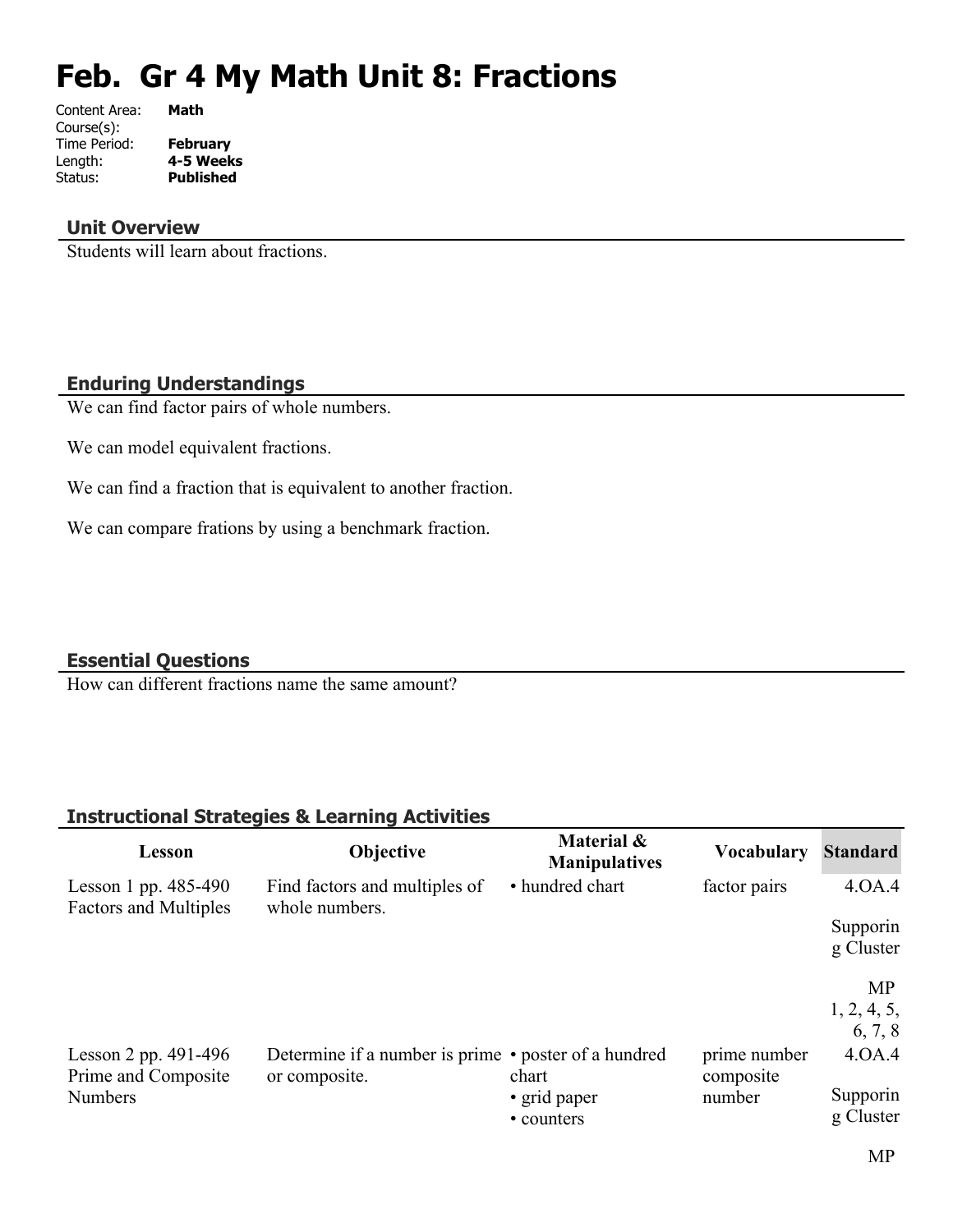# **Feb. Gr 4 My Math Unit 8: Fractions**

| Content Area: | Math             |
|---------------|------------------|
| Course(s):    |                  |
| Time Period:  | <b>February</b>  |
| Length:       | 4-5 Weeks        |
| Status:       | <b>Published</b> |
|               |                  |

### **Unit Overview**

Students will learn about fractions.

### **Enduring Understandings**

We can find factor pairs of whole numbers.

We can model equivalent fractions.

We can find a fraction that is equivalent to another fraction.

We can compare frations by using a benchmark fraction.

#### **Essential Questions**

How can different fractions name the same amount?

## **Instructional Strategies & Learning Activities**

| Lesson                                                 | <b>Objective</b>                                                      | Material &<br><b>Manipulatives</b> | <b>Vocabulary</b>         | <b>Standard</b>       |
|--------------------------------------------------------|-----------------------------------------------------------------------|------------------------------------|---------------------------|-----------------------|
| Lesson 1 pp. $485-490$<br><b>Factors and Multiples</b> | Find factors and multiples of<br>whole numbers.                       | • hundred chart                    | factor pairs              | 4.0A.4                |
|                                                        |                                                                       |                                    |                           | Supporin              |
|                                                        |                                                                       |                                    |                           | g Cluster             |
|                                                        |                                                                       |                                    |                           | <b>MP</b>             |
|                                                        |                                                                       |                                    |                           | 1, 2, 4, 5,           |
|                                                        |                                                                       |                                    |                           | 6, 7, 8               |
| Lesson 2 pp. $491-496$<br>Prime and Composite          | Determine if a number is prime • poster of a hundred<br>or composite. | chart                              | prime number<br>composite | 4.0A.4                |
| <b>Numbers</b>                                         |                                                                       | • grid paper<br>• counters         | number                    | Supporin<br>g Cluster |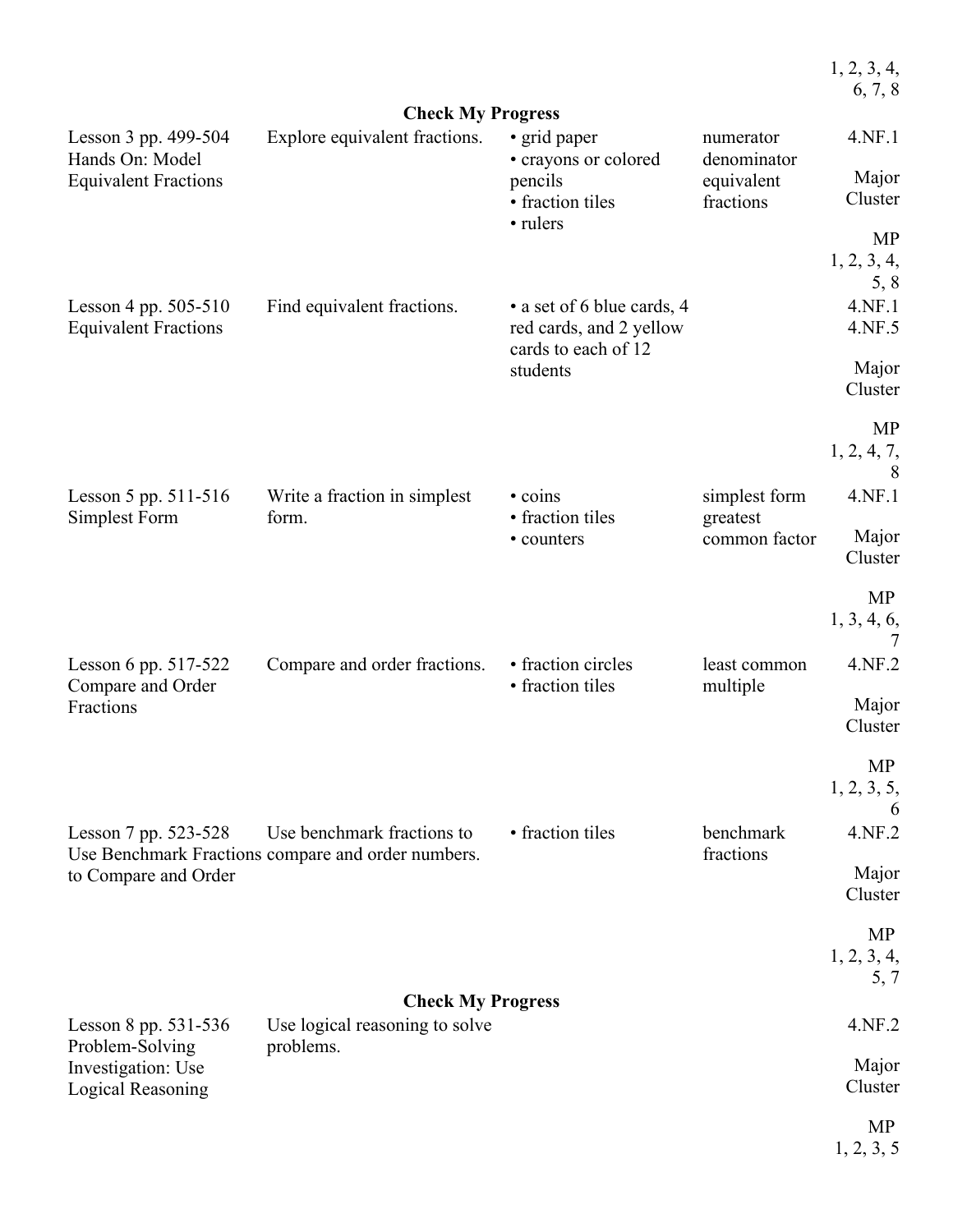|                                                     |                                                                                  |                                                                              |                           | 1, 2, 3, 4,<br>6, 7, 8        |
|-----------------------------------------------------|----------------------------------------------------------------------------------|------------------------------------------------------------------------------|---------------------------|-------------------------------|
|                                                     | <b>Check My Progress</b>                                                         |                                                                              |                           |                               |
| Lesson 3 pp. 499-504<br>Hands On: Model             | Explore equivalent fractions.                                                    | • grid paper<br>• crayons or colored                                         | numerator<br>denominator  | 4.NF.1                        |
| <b>Equivalent Fractions</b>                         |                                                                                  | pencils<br>• fraction tiles                                                  | equivalent<br>fractions   | Major<br>Cluster              |
|                                                     |                                                                                  | • rulers                                                                     |                           | <b>MP</b><br>1, 2, 3, 4,      |
| Lesson 4 pp. 505-510<br><b>Equivalent Fractions</b> | Find equivalent fractions.                                                       | • a set of 6 blue cards, 4<br>red cards, and 2 yellow<br>cards to each of 12 |                           | 5, 8<br>4.NF.1<br>4.NF.5      |
|                                                     |                                                                                  | students                                                                     |                           | Major<br>Cluster              |
|                                                     |                                                                                  |                                                                              |                           | <b>MP</b><br>1, 2, 4, 7,<br>8 |
| Lesson 5 pp. 511-516<br>Simplest Form               | Write a fraction in simplest<br>form.                                            | • coins<br>• fraction tiles                                                  | simplest form<br>greatest | 4.NF.1                        |
|                                                     |                                                                                  | • counters                                                                   | common factor             | Major<br>Cluster              |
|                                                     |                                                                                  |                                                                              |                           | <b>MP</b><br>1, 3, 4, 6,      |
| Lesson 6 pp. 517-522<br>Compare and Order           | Compare and order fractions.                                                     | • fraction circles<br>• fraction tiles                                       | least common<br>multiple  | 4.NF.2                        |
| Fractions                                           |                                                                                  |                                                                              |                           | Major<br>Cluster              |
|                                                     |                                                                                  |                                                                              |                           | <b>MP</b><br>1, 2, 3, 5,<br>6 |
| Lesson 7 pp. 523-528                                | Use benchmark fractions to<br>Use Benchmark Fractions compare and order numbers. | • fraction tiles                                                             | benchmark<br>fractions    | 4.NF.2                        |
| to Compare and Order                                |                                                                                  |                                                                              |                           | Major<br>Cluster              |
|                                                     |                                                                                  |                                                                              |                           | MP<br>1, 2, 3, 4,<br>5, 7     |
|                                                     | <b>Check My Progress</b>                                                         |                                                                              |                           |                               |
| Lesson 8 pp. 531-536<br>Problem-Solving             | Use logical reasoning to solve<br>problems.                                      |                                                                              |                           | 4.NF.2                        |
| Investigation: Use<br><b>Logical Reasoning</b>      |                                                                                  |                                                                              |                           | Major<br>Cluster              |
|                                                     |                                                                                  |                                                                              |                           | MP<br>1, 2, 3, 5              |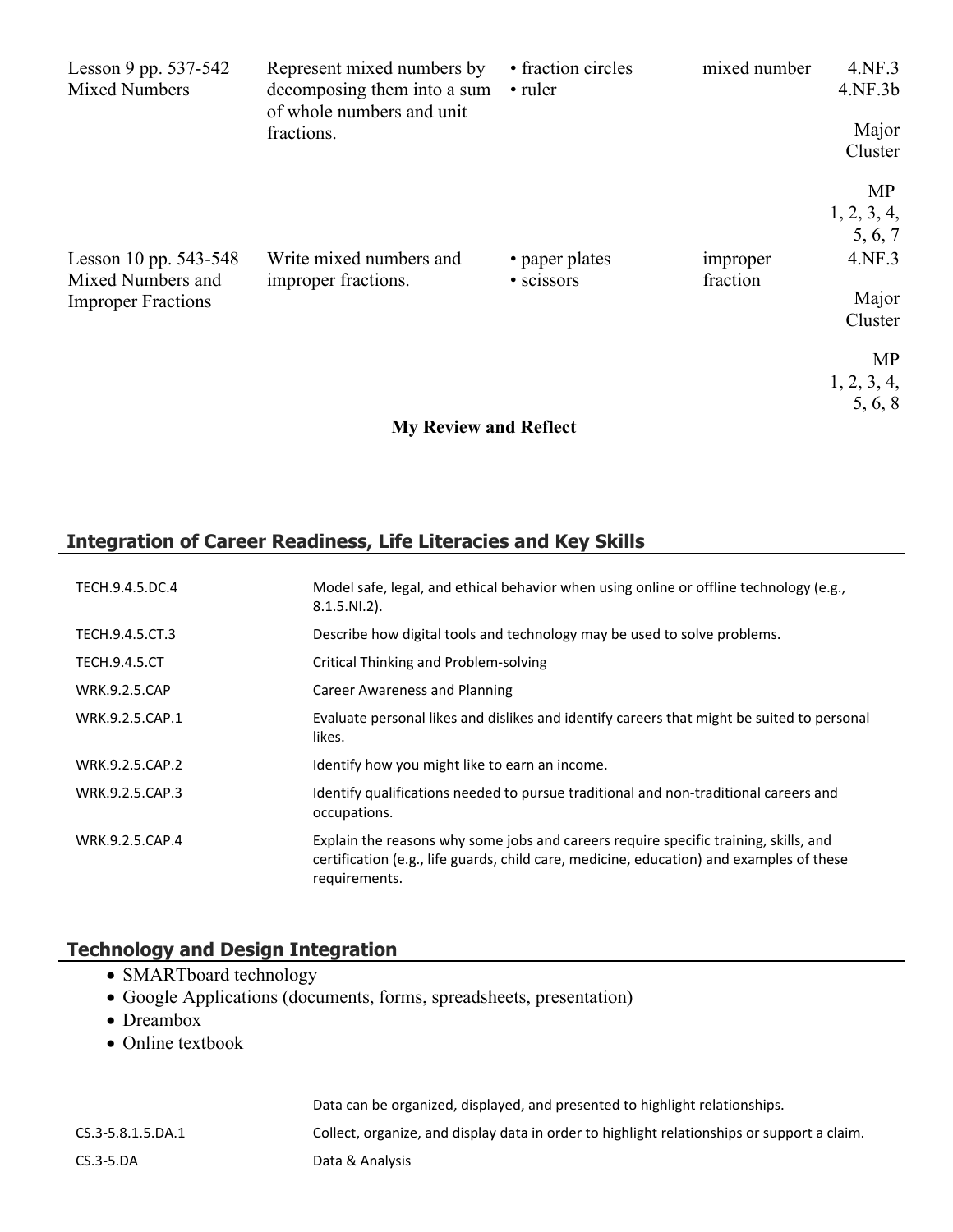| Lesson 9 pp. 537-542<br><b>Mixed Numbers</b> | Represent mixed numbers by<br>decomposing them into a sum<br>of whole numbers and unit | • fraction circles<br>• ruler | mixed number         | 4.NF.3<br>4.NF.3b |
|----------------------------------------------|----------------------------------------------------------------------------------------|-------------------------------|----------------------|-------------------|
|                                              | fractions.                                                                             |                               |                      | Major             |
|                                              |                                                                                        |                               |                      | Cluster           |
|                                              |                                                                                        |                               |                      | MP                |
|                                              |                                                                                        |                               |                      | 1, 2, 3, 4,       |
|                                              |                                                                                        |                               |                      | 5, 6, 7           |
| Lesson 10 pp. 543-548<br>Mixed Numbers and   | Write mixed numbers and<br>improper fractions.                                         | • paper plates<br>• scissors  | improper<br>fraction | 4.NF.3            |
| <b>Improper Fractions</b>                    |                                                                                        |                               |                      | Major             |
|                                              |                                                                                        |                               |                      | Cluster           |
|                                              |                                                                                        |                               |                      | MP                |
|                                              |                                                                                        |                               |                      | 1, 2, 3, 4,       |
|                                              |                                                                                        |                               |                      | 5, 6, 8           |
|                                              | <b>My Review and Reflect</b>                                                           |                               |                      |                   |

# **Integration of Career Readiness, Life Literacies and Key Skills**

| TECH.9.4.5.DC.4      | Model safe, legal, and ethical behavior when using online or offline technology (e.g.,<br>$8.1.5.NI.2$ ).                                                                                         |
|----------------------|---------------------------------------------------------------------------------------------------------------------------------------------------------------------------------------------------|
| TECH.9.4.5.CT.3      | Describe how digital tools and technology may be used to solve problems.                                                                                                                          |
| <b>TECH.9.4.5.CT</b> | Critical Thinking and Problem-solving                                                                                                                                                             |
| <b>WRK.9.2.5.CAP</b> | Career Awareness and Planning                                                                                                                                                                     |
| WRK.9.2.5.CAP.1      | Evaluate personal likes and dislikes and identify careers that might be suited to personal<br>likes.                                                                                              |
| WRK.9.2.5.CAP.2      | Identify how you might like to earn an income.                                                                                                                                                    |
| WRK.9.2.5.CAP.3      | Identify qualifications needed to pursue traditional and non-traditional careers and<br>occupations.                                                                                              |
| WRK.9.2.5.CAP.4      | Explain the reasons why some jobs and careers require specific training, skills, and<br>certification (e.g., life guards, child care, medicine, education) and examples of these<br>requirements. |

## **Technology and Design Integration**

- SMARTboard technology
- Google Applications (documents, forms, spreadsheets, presentation)
- Dreambox
- Online textbook

|                   | Data can be organized, displayed, and presented to highlight relationships.                 |
|-------------------|---------------------------------------------------------------------------------------------|
| CS.3-5.8.1.5.DA.1 | Collect, organize, and display data in order to highlight relationships or support a claim. |
| $CS.3 - 5.DA$     | Data & Analysis                                                                             |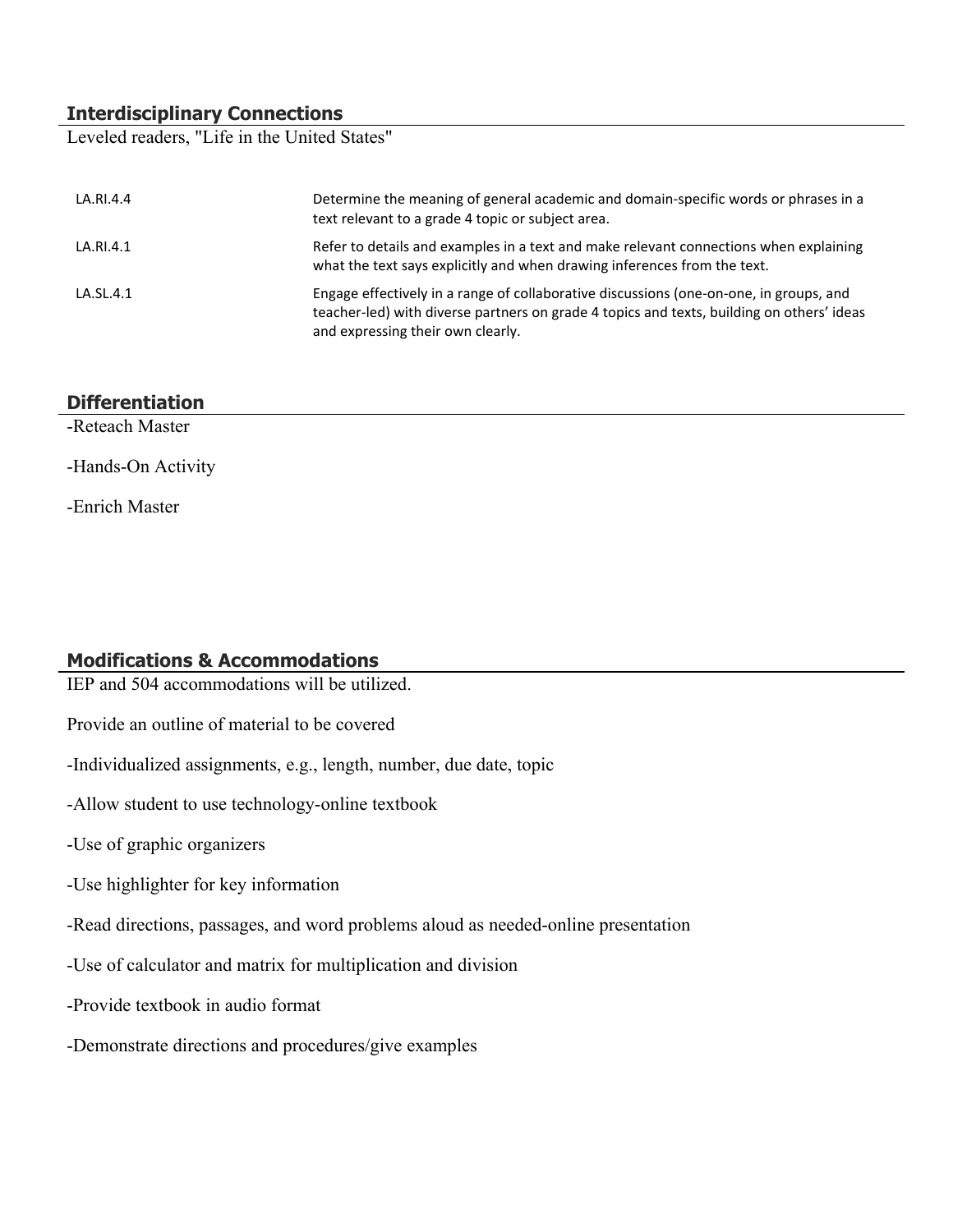# **Interdisciplinary Connections**

Leveled readers, "Life in the United States"

| LA.RI.4.4 | Determine the meaning of general academic and domain-specific words or phrases in a<br>text relevant to a grade 4 topic or subject area.                                                                                 |
|-----------|--------------------------------------------------------------------------------------------------------------------------------------------------------------------------------------------------------------------------|
| LA.RI.4.1 | Refer to details and examples in a text and make relevant connections when explaining<br>what the text says explicitly and when drawing inferences from the text.                                                        |
| LA.SL.4.1 | Engage effectively in a range of collaborative discussions (one-on-one, in groups, and<br>teacher-led) with diverse partners on grade 4 topics and texts, building on others' ideas<br>and expressing their own clearly. |

## **Differentiation**

-Reteach Master

-Hands-On Activity

-Enrich Master

## **Modifications & Accommodations**

IEP and 504 accommodations will be utilized.

Provide an outline of material to be covered

-Individualized assignments, e.g., length, number, due date, topic

-Allow student to use technology-online textbook

-Use of graphic organizers

-Use highlighter for key information

-Read directions, passages, and word problems aloud as needed-online presentation

-Use of calculator and matrix for multiplication and division

-Provide textbook in audio format

-Demonstrate directions and procedures/give examples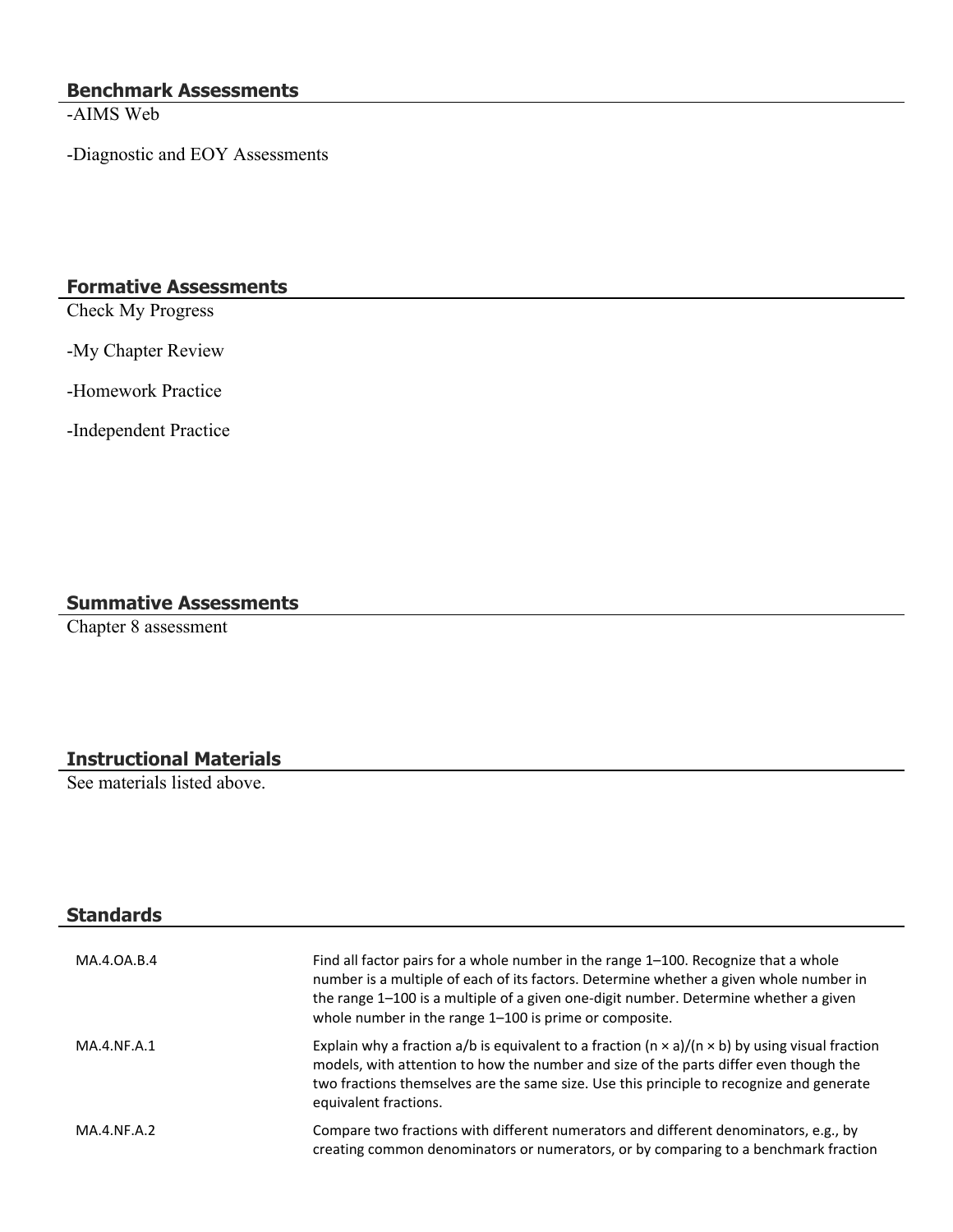### **Benchmark Assessments**

-AIMS Web

-Diagnostic and EOY Assessments

## **Formative Assessments**

Check My Progress

-My Chapter Review

-Homework Practice

-Independent Practice

## **Summative Assessments**

Chapter 8 assessment

## **Instructional Materials**

See materials listed above.

| <b>Standards</b> |                                                                                                                                                                                                                                                                                                                                 |
|------------------|---------------------------------------------------------------------------------------------------------------------------------------------------------------------------------------------------------------------------------------------------------------------------------------------------------------------------------|
| MA.4.0A.B.4      | Find all factor pairs for a whole number in the range 1–100. Recognize that a whole<br>number is a multiple of each of its factors. Determine whether a given whole number in<br>the range 1-100 is a multiple of a given one-digit number. Determine whether a given<br>whole number in the range 1-100 is prime or composite. |
| MA.4.NF.A.1      | Explain why a fraction a/b is equivalent to a fraction ( $n \times a$ )/( $n \times b$ ) by using visual fraction<br>models, with attention to how the number and size of the parts differ even though the<br>two fractions themselves are the same size. Use this principle to recognize and generate<br>equivalent fractions. |
| MA.4.NF.A.2      | Compare two fractions with different numerators and different denominators, e.g., by<br>creating common denominators or numerators, or by comparing to a benchmark fraction                                                                                                                                                     |